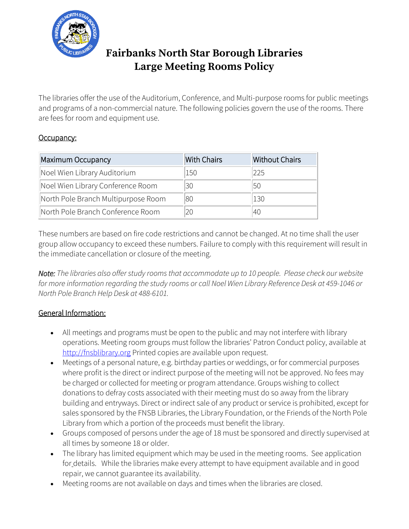

## **Fairbanks North Star Borough Libraries Large Meeting Rooms Policy**

The libraries offer the use of the Auditorium, Conference, and Multi-purpose rooms for public meetings and programs of a non-commercial nature. The following policies govern the use of the rooms. There are fees for room and equipment use.

### Occupancy:

| Maximum Occupancy                   | <b>With Chairs</b> | <b>Without Chairs</b> |
|-------------------------------------|--------------------|-----------------------|
| Noel Wien Library Auditorium        | 150                | 225                   |
| Noel Wien Library Conference Room   | 30                 | 50                    |
| North Pole Branch Multipurpose Room | 80                 | 130                   |
| North Pole Branch Conference Room   | 20                 | 40                    |

These numbers are based on fire code restrictions and cannot be changed. At no time shall the user group allow occupancy to exceed these numbers. Failure to comply with this requirement will result in the immediate cancellation or closure of the meeting.

*Note: The libraries also offer study rooms that accommodate up to 10 people. Please check our website for more information regarding the study rooms or call Noel Wien Library Reference Desk at 459-1046 or North Pole Branch Help Desk at 488-6101.*

### General Information:

- All meetings and programs must be open to the public and may not interfere with library operations. Meeting room groups must follow the libraries' Patron Conduct policy, available at [http://fnsblibrary.org](http://fnsblibrary.org/?page_id=70) Printed copies are available upon request.
- Meetings of a personal nature, e.g. birthday parties or weddings, or for commercial purposes where profit is the direct or indirect purpose of the meeting will not be approved. No fees may be charged or collected for meeting or program attendance. Groups wishing to collect donations to defray costs associated with their meeting must do so away from the library building and entryways. Direct or indirect sale of any product or service is prohibited, except for sales sponsored by the FNSB Libraries, the Library Foundation, or the Friends of the North Pole Library from which a portion of the proceeds must benefit the library.
- Groups composed of persons under the age of 18 must be sponsored and directly supervised at all times by someone 18 or older.
- The library has limited equipment which may be used in the meeting rooms. See application for details. While the libraries make every attempt to have equipment available and in good repair, we cannot guarantee its availability.
- Meeting rooms are not available on days and times when the libraries are closed.